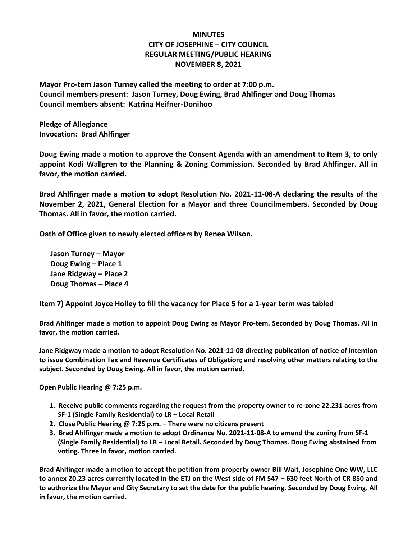## **MINUTES CITY OF JOSEPHINE – CITY COUNCIL REGULAR MEETING/PUBLIC HEARING NOVEMBER 8, 2021**

**Mayor Pro-tem Jason Turney called the meeting to order at 7:00 p.m. Council members present: Jason Turney, Doug Ewing, Brad Ahlfinger and Doug Thomas Council members absent: Katrina Heifner-Donihoo**

**Pledge of Allegiance Invocation: Brad Ahlfinger**

**Doug Ewing made a motion to approve the Consent Agenda with an amendment to Item 3, to only appoint Kodi Wallgren to the Planning & Zoning Commission. Seconded by Brad Ahlfinger. All in favor, the motion carried.**

**Brad Ahlfinger made a motion to adopt Resolution No. 2021-11-08-A declaring the results of the November 2, 2021, General Election for a Mayor and three Councilmembers. Seconded by Doug Thomas. All in favor, the motion carried.**

**Oath of Office given to newly elected officers by Renea Wilson.**

 **Jason Turney – Mayor Doug Ewing – Place 1 Jane Ridgway – Place 2 Doug Thomas – Place 4**

**Item 7) Appoint Joyce Holley to fill the vacancy for Place 5 for a 1-year term was tabled**

**Brad Ahlfinger made a motion to appoint Doug Ewing as Mayor Pro-tem. Seconded by Doug Thomas. All in favor, the motion carried.**

**Jane Ridgway made a motion to adopt Resolution No. 2021-11-08 directing publication of notice of intention to issue Combination Tax and Revenue Certificates of Obligation; and resolving other matters relating to the subject. Seconded by Doug Ewing. All in favor, the motion carried.**

**Open Public Hearing @ 7:25 p.m.** 

- **1. Receive public comments regarding the request from the property owner to re-zone 22.231 acres from SF-1 (Single Family Residential) to LR – Local Retail**
- **2. Close Public Hearing @ 7:25 p.m. – There were no citizens present**
- **3. Brad Ahlfinger made a motion to adopt Ordinance No. 2021-11-08-A to amend the zoning from SF-1 (Single Family Residential) to LR – Local Retail. Seconded by Doug Thomas. Doug Ewing abstained from voting. Three in favor, motion carried.**

**Brad Ahlfinger made a motion to accept the petition from property owner Bill Wait, Josephine One WW, LLC to annex 20.23 acres currently located in the ETJ on the West side of FM 547 – 630 feet North of CR 850 and to authorize the Mayor and City Secretary to set the date for the public hearing. Seconded by Doug Ewing. All in favor, the motion carried.**